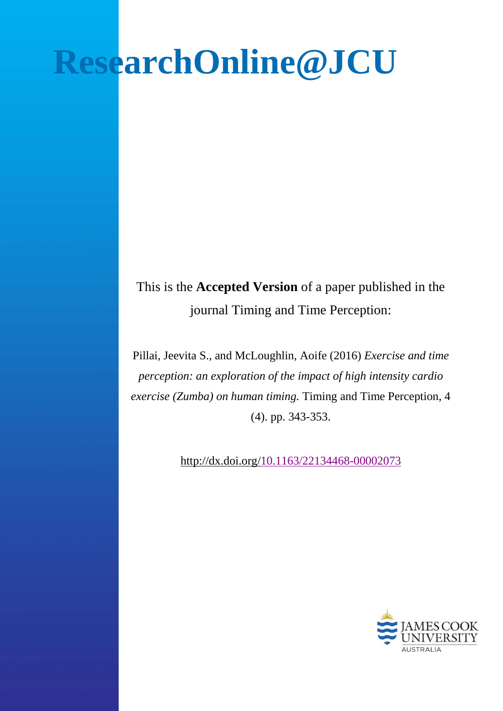# **ResearchOnline@JCU**

This is the **Accepted Version** of a paper published in the journal Timing and Time Perception:

Pillai, Jeevita S., and McLoughlin, Aoife (2016) *Exercise and time perception: an exploration of the impact of high intensity cardio exercise (Zumba) on human timing.* Timing and Time Perception, 4 (4). pp. 343-353.

http://dx.doi.org[/10.1163/22134468-00002073](http://dx.doi.org/10.1163/22134468-00002073)

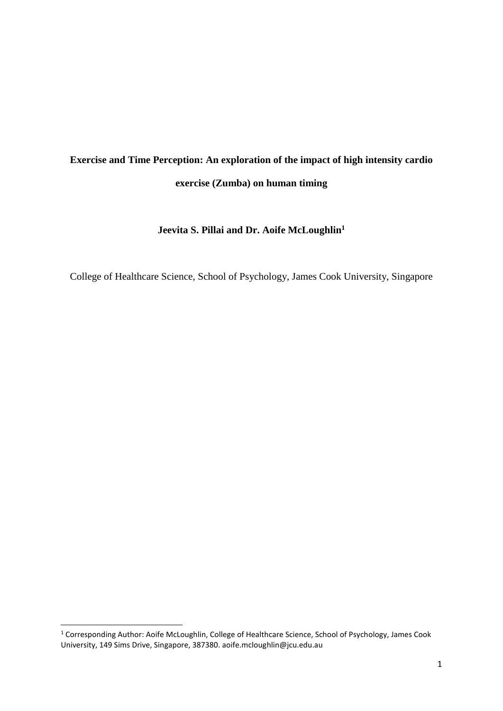# **Exercise and Time Perception: An exploration of the impact of high intensity cardio exercise (Zumba) on human timing**

**Jeevita S. Pillai and Dr. Aoife McLoughlin1**

College of Healthcare Science, School of Psychology, James Cook University, Singapore

<sup>&</sup>lt;sup>1</sup> Corresponding Author: Aoife McLoughlin, College of Healthcare Science, School of Psychology, James Cook University, 149 Sims Drive, Singapore, 387380. aoife.mcloughlin@jcu.edu.au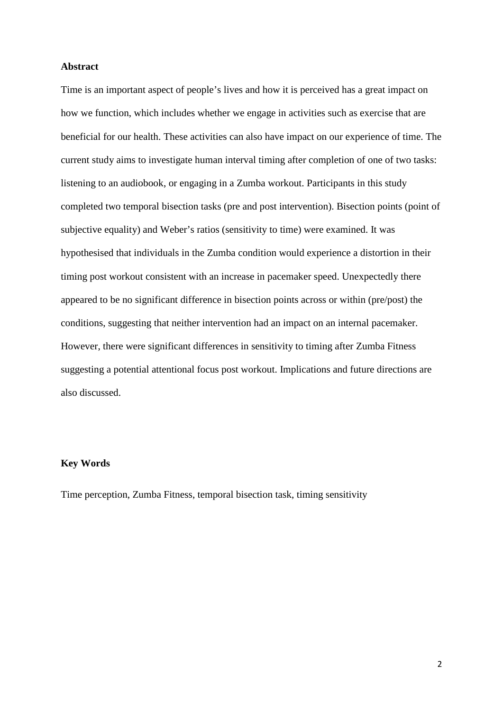### **Abstract**

Time is an important aspect of people's lives and how it is perceived has a great impact on how we function, which includes whether we engage in activities such as exercise that are beneficial for our health. These activities can also have impact on our experience of time. The current study aims to investigate human interval timing after completion of one of two tasks: listening to an audiobook, or engaging in a Zumba workout. Participants in this study completed two temporal bisection tasks (pre and post intervention). Bisection points (point of subjective equality) and Weber's ratios (sensitivity to time) were examined. It was hypothesised that individuals in the Zumba condition would experience a distortion in their timing post workout consistent with an increase in pacemaker speed. Unexpectedly there appeared to be no significant difference in bisection points across or within (pre/post) the conditions, suggesting that neither intervention had an impact on an internal pacemaker. However, there were significant differences in sensitivity to timing after Zumba Fitness suggesting a potential attentional focus post workout. Implications and future directions are also discussed.

# **Key Words**

Time perception, Zumba Fitness, temporal bisection task, timing sensitivity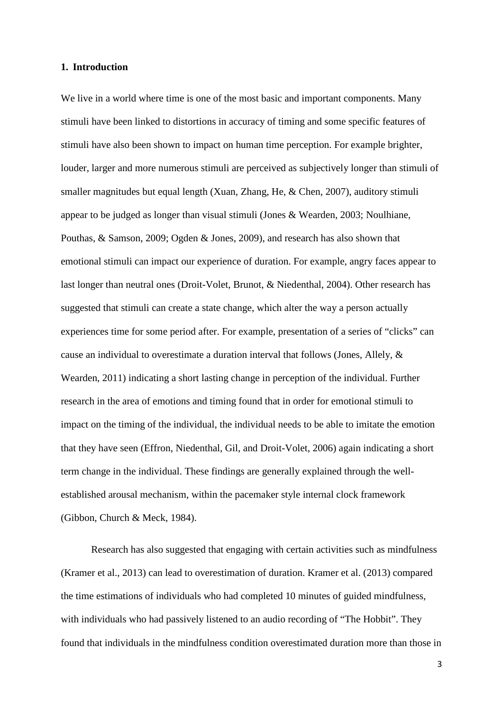#### **1. Introduction**

We live in a world where time is one of the most basic and important components. Many stimuli have been linked to distortions in accuracy of timing and some specific features of stimuli have also been shown to impact on human time perception. For example brighter, louder, larger and more numerous stimuli are perceived as subjectively longer than stimuli of smaller magnitudes but equal length (Xuan, Zhang, He, & Chen, 2007), auditory stimuli appear to be judged as longer than visual stimuli (Jones & Wearden, 2003; Noulhiane, Pouthas, & Samson, 2009; Ogden & Jones, 2009), and research has also shown that emotional stimuli can impact our experience of duration. For example, angry faces appear to last longer than neutral ones (Droit-Volet, Brunot, & Niedenthal, 2004). Other research has suggested that stimuli can create a state change, which alter the way a person actually experiences time for some period after. For example, presentation of a series of "clicks" can cause an individual to overestimate a duration interval that follows (Jones, Allely, & Wearden, 2011) indicating a short lasting change in perception of the individual. Further research in the area of emotions and timing found that in order for emotional stimuli to impact on the timing of the individual, the individual needs to be able to imitate the emotion that they have seen (Effron, Niedenthal, Gil, and Droit-Volet, 2006) again indicating a short term change in the individual. These findings are generally explained through the wellestablished arousal mechanism, within the pacemaker style internal clock framework (Gibbon, Church & Meck, 1984).

Research has also suggested that engaging with certain activities such as mindfulness (Kramer et al., 2013) can lead to overestimation of duration. Kramer et al. (2013) compared the time estimations of individuals who had completed 10 minutes of guided mindfulness, with individuals who had passively listened to an audio recording of "The Hobbit". They found that individuals in the mindfulness condition overestimated duration more than those in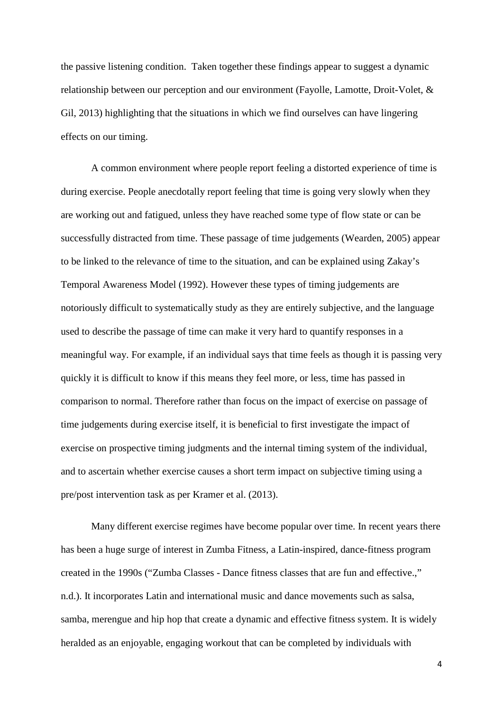the passive listening condition. Taken together these findings appear to suggest a dynamic relationship between our perception and our environment (Fayolle, Lamotte, Droit-Volet, & Gil, 2013) highlighting that the situations in which we find ourselves can have lingering effects on our timing.

A common environment where people report feeling a distorted experience of time is during exercise. People anecdotally report feeling that time is going very slowly when they are working out and fatigued, unless they have reached some type of flow state or can be successfully distracted from time. These passage of time judgements (Wearden, 2005) appear to be linked to the relevance of time to the situation, and can be explained using Zakay's Temporal Awareness Model (1992). However these types of timing judgements are notoriously difficult to systematically study as they are entirely subjective, and the language used to describe the passage of time can make it very hard to quantify responses in a meaningful way. For example, if an individual says that time feels as though it is passing very quickly it is difficult to know if this means they feel more, or less, time has passed in comparison to normal. Therefore rather than focus on the impact of exercise on passage of time judgements during exercise itself, it is beneficial to first investigate the impact of exercise on prospective timing judgments and the internal timing system of the individual, and to ascertain whether exercise causes a short term impact on subjective timing using a pre/post intervention task as per Kramer et al. (2013).

Many different exercise regimes have become popular over time. In recent years there has been a huge surge of interest in Zumba Fitness, a Latin-inspired, dance-fitness program created in the 1990s ("Zumba Classes - Dance fitness classes that are fun and effective.," n.d.). It incorporates Latin and international music and dance movements such as salsa, samba, merengue and hip hop that create a dynamic and effective fitness system. It is widely heralded as an enjoyable, engaging workout that can be completed by individuals with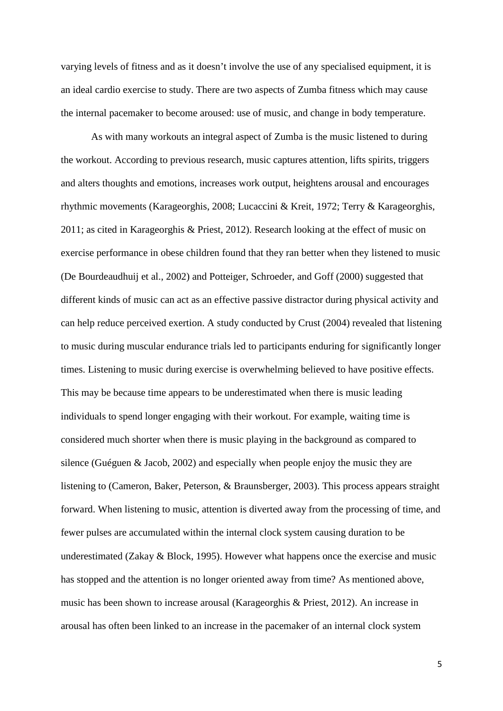varying levels of fitness and as it doesn't involve the use of any specialised equipment, it is an ideal cardio exercise to study. There are two aspects of Zumba fitness which may cause the internal pacemaker to become aroused: use of music, and change in body temperature.

As with many workouts an integral aspect of Zumba is the music listened to during the workout. According to previous research, music captures attention, lifts spirits, triggers and alters thoughts and emotions, increases work output, heightens arousal and encourages rhythmic movements (Karageorghis, 2008; Lucaccini & Kreit, 1972; Terry & Karageorghis, 2011; as cited in Karageorghis & Priest, 2012). Research looking at the effect of music on exercise performance in obese children found that they ran better when they listened to music (De Bourdeaudhuij et al., 2002) and Potteiger, Schroeder, and Goff (2000) suggested that different kinds of music can act as an effective passive distractor during physical activity and can help reduce perceived exertion. A study conducted by Crust (2004) revealed that listening to music during muscular endurance trials led to participants enduring for significantly longer times. Listening to music during exercise is overwhelming believed to have positive effects. This may be because time appears to be underestimated when there is music leading individuals to spend longer engaging with their workout. For example, waiting time is considered much shorter when there is music playing in the background as compared to silence (Guéguen & Jacob, 2002) and especially when people enjoy the music they are listening to (Cameron, Baker, Peterson, & Braunsberger, 2003). This process appears straight forward. When listening to music, attention is diverted away from the processing of time, and fewer pulses are accumulated within the internal clock system causing duration to be underestimated (Zakay & Block, 1995). However what happens once the exercise and music has stopped and the attention is no longer oriented away from time? As mentioned above, music has been shown to increase arousal (Karageorghis & Priest, 2012). An increase in arousal has often been linked to an increase in the pacemaker of an internal clock system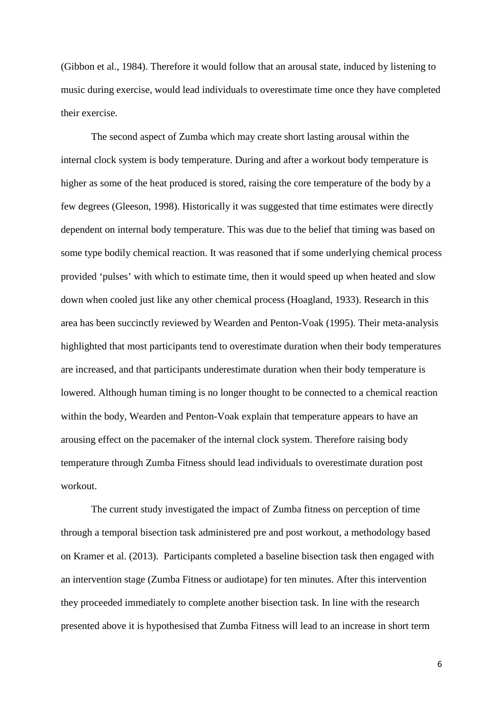(Gibbon et al., 1984). Therefore it would follow that an arousal state, induced by listening to music during exercise, would lead individuals to overestimate time once they have completed their exercise.

The second aspect of Zumba which may create short lasting arousal within the internal clock system is body temperature. During and after a workout body temperature is higher as some of the heat produced is stored, raising the core temperature of the body by a few degrees (Gleeson, 1998). Historically it was suggested that time estimates were directly dependent on internal body temperature. This was due to the belief that timing was based on some type bodily chemical reaction. It was reasoned that if some underlying chemical process provided 'pulses' with which to estimate time, then it would speed up when heated and slow down when cooled just like any other chemical process (Hoagland, 1933). Research in this area has been succinctly reviewed by Wearden and Penton-Voak (1995). Their meta-analysis highlighted that most participants tend to overestimate duration when their body temperatures are increased, and that participants underestimate duration when their body temperature is lowered. Although human timing is no longer thought to be connected to a chemical reaction within the body, Wearden and Penton-Voak explain that temperature appears to have an arousing effect on the pacemaker of the internal clock system. Therefore raising body temperature through Zumba Fitness should lead individuals to overestimate duration post workout.

The current study investigated the impact of Zumba fitness on perception of time through a temporal bisection task administered pre and post workout, a methodology based on Kramer et al. (2013). Participants completed a baseline bisection task then engaged with an intervention stage (Zumba Fitness or audiotape) for ten minutes. After this intervention they proceeded immediately to complete another bisection task. In line with the research presented above it is hypothesised that Zumba Fitness will lead to an increase in short term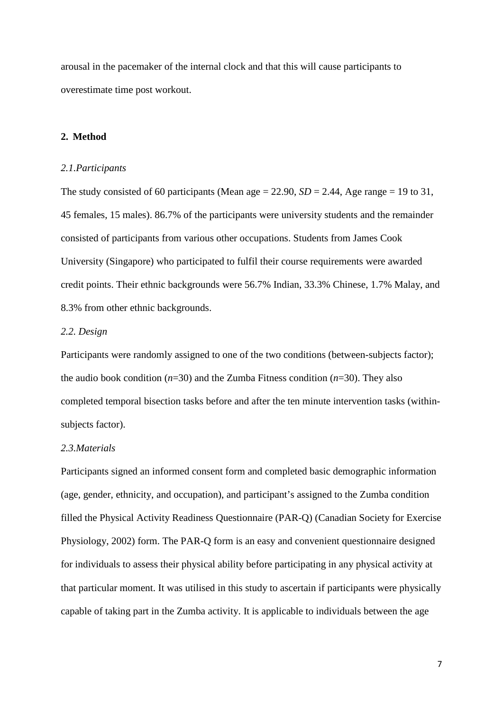arousal in the pacemaker of the internal clock and that this will cause participants to overestimate time post workout.

# **2. Method**

#### *2.1.Participants*

The study consisted of 60 participants (Mean age  $= 22.90$ ,  $SD = 2.44$ , Age range  $= 19$  to 31, 45 females, 15 males). 86.7% of the participants were university students and the remainder consisted of participants from various other occupations. Students from James Cook University (Singapore) who participated to fulfil their course requirements were awarded credit points. Their ethnic backgrounds were 56.7% Indian, 33.3% Chinese, 1.7% Malay, and 8.3% from other ethnic backgrounds.

# *2.2. Design*

Participants were randomly assigned to one of the two conditions (between-subjects factor); the audio book condition (*n*=30) and the Zumba Fitness condition (*n*=30). They also completed temporal bisection tasks before and after the ten minute intervention tasks (withinsubjects factor).

### *2.3.Materials*

Participants signed an informed consent form and completed basic demographic information (age, gender, ethnicity, and occupation), and participant's assigned to the Zumba condition filled the Physical Activity Readiness Questionnaire (PAR-Q) (Canadian Society for Exercise Physiology, 2002) form. The PAR-Q form is an easy and convenient questionnaire designed for individuals to assess their physical ability before participating in any physical activity at that particular moment. It was utilised in this study to ascertain if participants were physically capable of taking part in the Zumba activity. It is applicable to individuals between the age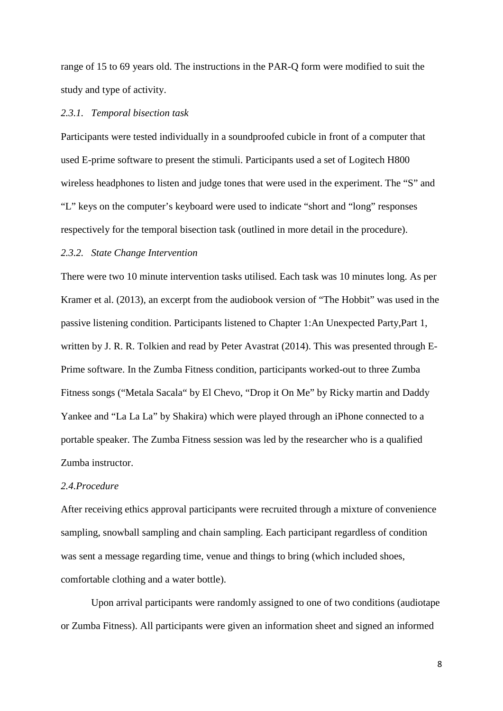range of 15 to 69 years old. The instructions in the PAR-Q form were modified to suit the study and type of activity.

#### *2.3.1. Temporal bisection task*

Participants were tested individually in a soundproofed cubicle in front of a computer that used E-prime software to present the stimuli. Participants used a set of Logitech H800 wireless headphones to listen and judge tones that were used in the experiment. The "S" and "L" keys on the computer's keyboard were used to indicate "short and "long" responses respectively for the temporal bisection task (outlined in more detail in the procedure).

#### *2.3.2. State Change Intervention*

There were two 10 minute intervention tasks utilised. Each task was 10 minutes long. As per Kramer et al. (2013), an excerpt from the audiobook version of "The Hobbit" was used in the passive listening condition. Participants listened to Chapter 1:An Unexpected Party,Part 1, written by J. R. R. Tolkien and read by Peter Avastrat (2014). This was presented through E-Prime software. In the Zumba Fitness condition, participants worked-out to three Zumba Fitness songs ("Metala Sacala" by El Chevo, "Drop it On Me" by Ricky martin and Daddy Yankee and "La La La" by Shakira) which were played through an iPhone connected to a portable speaker. The Zumba Fitness session was led by the researcher who is a qualified Zumba instructor.

#### *2.4.Procedure*

After receiving ethics approval participants were recruited through a mixture of convenience sampling, snowball sampling and chain sampling. Each participant regardless of condition was sent a message regarding time, venue and things to bring (which included shoes, comfortable clothing and a water bottle).

Upon arrival participants were randomly assigned to one of two conditions (audiotape or Zumba Fitness). All participants were given an information sheet and signed an informed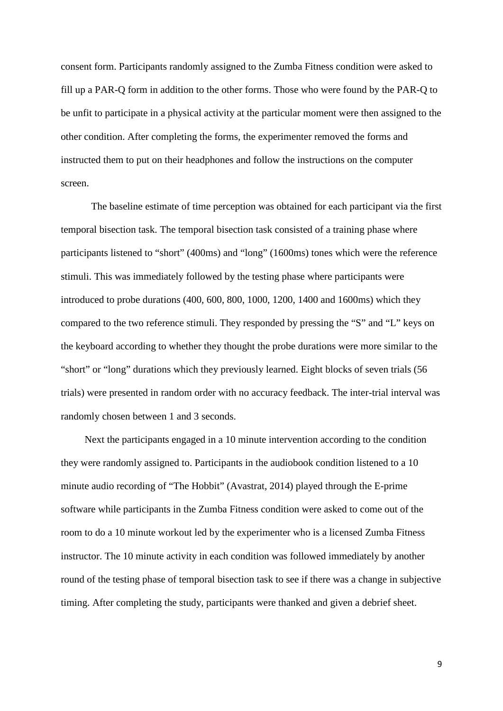consent form. Participants randomly assigned to the Zumba Fitness condition were asked to fill up a PAR-Q form in addition to the other forms. Those who were found by the PAR-Q to be unfit to participate in a physical activity at the particular moment were then assigned to the other condition. After completing the forms, the experimenter removed the forms and instructed them to put on their headphones and follow the instructions on the computer screen.

The baseline estimate of time perception was obtained for each participant via the first temporal bisection task. The temporal bisection task consisted of a training phase where participants listened to "short" (400ms) and "long" (1600ms) tones which were the reference stimuli. This was immediately followed by the testing phase where participants were introduced to probe durations (400, 600, 800, 1000, 1200, 1400 and 1600ms) which they compared to the two reference stimuli. They responded by pressing the "S" and "L" keys on the keyboard according to whether they thought the probe durations were more similar to the "short" or "long" durations which they previously learned. Eight blocks of seven trials (56 trials) were presented in random order with no accuracy feedback. The inter-trial interval was randomly chosen between 1 and 3 seconds.

Next the participants engaged in a 10 minute intervention according to the condition they were randomly assigned to. Participants in the audiobook condition listened to a 10 minute audio recording of "The Hobbit" (Avastrat, 2014) played through the E-prime software while participants in the Zumba Fitness condition were asked to come out of the room to do a 10 minute workout led by the experimenter who is a licensed Zumba Fitness instructor. The 10 minute activity in each condition was followed immediately by another round of the testing phase of temporal bisection task to see if there was a change in subjective timing. After completing the study, participants were thanked and given a debrief sheet.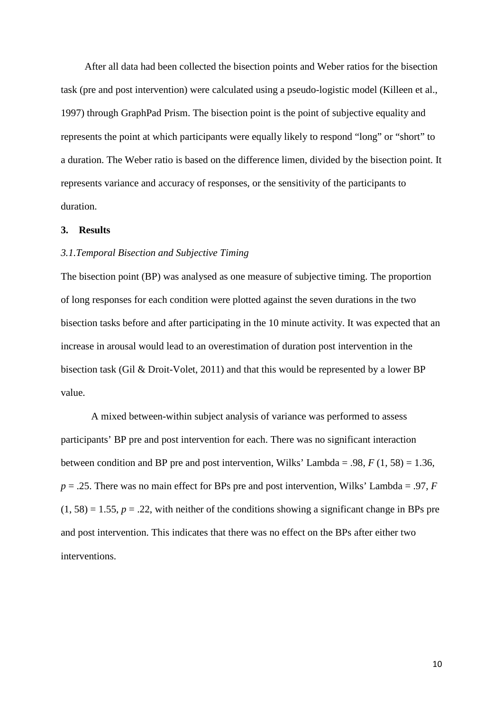After all data had been collected the bisection points and Weber ratios for the bisection task (pre and post intervention) were calculated using a pseudo-logistic model (Killeen et al., 1997) through GraphPad Prism. The bisection point is the point of subjective equality and represents the point at which participants were equally likely to respond "long" or "short" to a duration. The Weber ratio is based on the difference limen, divided by the bisection point. It represents variance and accuracy of responses, or the sensitivity of the participants to duration.

#### **3. Results**

## *3.1.Temporal Bisection and Subjective Timing*

The bisection point (BP) was analysed as one measure of subjective timing. The proportion of long responses for each condition were plotted against the seven durations in the two bisection tasks before and after participating in the 10 minute activity. It was expected that an increase in arousal would lead to an overestimation of duration post intervention in the bisection task (Gil & Droit-Volet, 2011) and that this would be represented by a lower BP value.

A mixed between-within subject analysis of variance was performed to assess participants' BP pre and post intervention for each. There was no significant interaction between condition and BP pre and post intervention, Wilks' Lambda = .98,  $F(1, 58) = 1.36$ ,  $p = 0.25$ . There was no main effect for BPs pre and post intervention, Wilks' Lambda = .97, *F*  $(1, 58) = 1.55$ ,  $p = .22$ , with neither of the conditions showing a significant change in BPs pre and post intervention. This indicates that there was no effect on the BPs after either two interventions.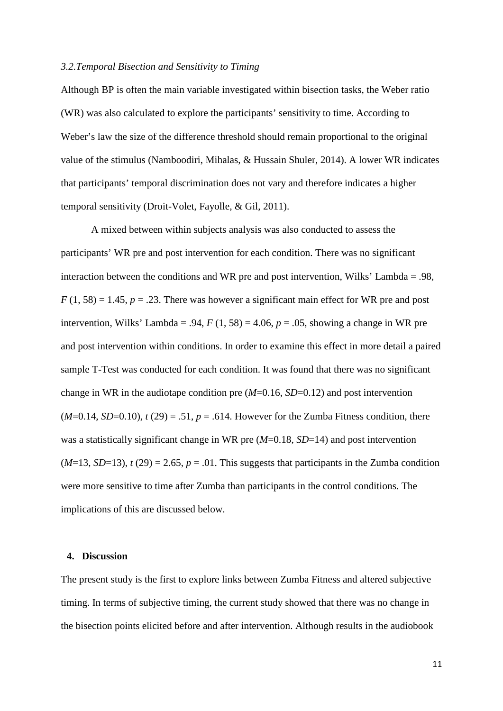#### *3.2.Temporal Bisection and Sensitivity to Timing*

Although BP is often the main variable investigated within bisection tasks, the Weber ratio (WR) was also calculated to explore the participants' sensitivity to time. According to Weber's law the size of the difference threshold should remain proportional to the original value of the stimulus (Namboodiri, Mihalas, & Hussain Shuler, 2014). A lower WR indicates that participants' temporal discrimination does not vary and therefore indicates a higher temporal sensitivity (Droit-Volet, Fayolle, & Gil, 2011).

A mixed between within subjects analysis was also conducted to assess the participants' WR pre and post intervention for each condition. There was no significant interaction between the conditions and WR pre and post intervention, Wilks' Lambda = .98,  $F(1, 58) = 1.45$ ,  $p = .23$ . There was however a significant main effect for WR pre and post intervention, Wilks' Lambda = .94,  $F(1, 58) = 4.06$ ,  $p = .05$ , showing a change in WR pre and post intervention within conditions. In order to examine this effect in more detail a paired sample T-Test was conducted for each condition. It was found that there was no significant change in WR in the audiotape condition pre (*M*=0.16, *SD*=0.12) and post intervention  $(M=0.14, SD=0.10)$ ,  $t(29) = .51$ ,  $p = .614$ . However for the Zumba Fitness condition, there was a statistically significant change in WR pre (*M*=0.18, *SD*=14) and post intervention  $(M=13, SD=13)$ ,  $t(29) = 2.65$ ,  $p = .01$ . This suggests that participants in the Zumba condition were more sensitive to time after Zumba than participants in the control conditions. The implications of this are discussed below.

#### **4. Discussion**

The present study is the first to explore links between Zumba Fitness and altered subjective timing. In terms of subjective timing, the current study showed that there was no change in the bisection points elicited before and after intervention. Although results in the audiobook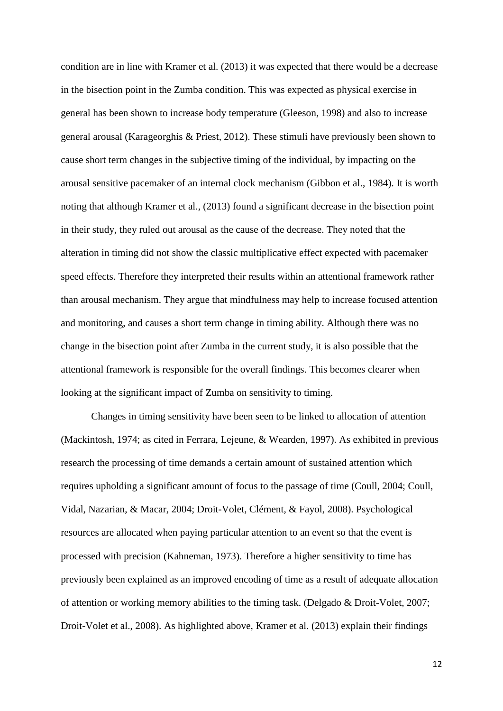condition are in line with Kramer et al. (2013) it was expected that there would be a decrease in the bisection point in the Zumba condition. This was expected as physical exercise in general has been shown to increase body temperature (Gleeson, 1998) and also to increase general arousal (Karageorghis & Priest, 2012). These stimuli have previously been shown to cause short term changes in the subjective timing of the individual, by impacting on the arousal sensitive pacemaker of an internal clock mechanism (Gibbon et al., 1984). It is worth noting that although Kramer et al., (2013) found a significant decrease in the bisection point in their study, they ruled out arousal as the cause of the decrease. They noted that the alteration in timing did not show the classic multiplicative effect expected with pacemaker speed effects. Therefore they interpreted their results within an attentional framework rather than arousal mechanism. They argue that mindfulness may help to increase focused attention and monitoring, and causes a short term change in timing ability. Although there was no change in the bisection point after Zumba in the current study, it is also possible that the attentional framework is responsible for the overall findings. This becomes clearer when looking at the significant impact of Zumba on sensitivity to timing.

Changes in timing sensitivity have been seen to be linked to allocation of attention (Mackintosh, 1974; as cited in Ferrara, Lejeune, & Wearden, 1997). As exhibited in previous research the processing of time demands a certain amount of sustained attention which requires upholding a significant amount of focus to the passage of time (Coull, 2004; Coull, Vidal, Nazarian, & Macar, 2004; Droit-Volet, Clément, & Fayol, 2008). Psychological resources are allocated when paying particular attention to an event so that the event is processed with precision (Kahneman, 1973). Therefore a higher sensitivity to time has previously been explained as an improved encoding of time as a result of adequate allocation of attention or working memory abilities to the timing task. (Delgado & Droit-Volet, 2007; Droit-Volet et al., 2008). As highlighted above, Kramer et al. (2013) explain their findings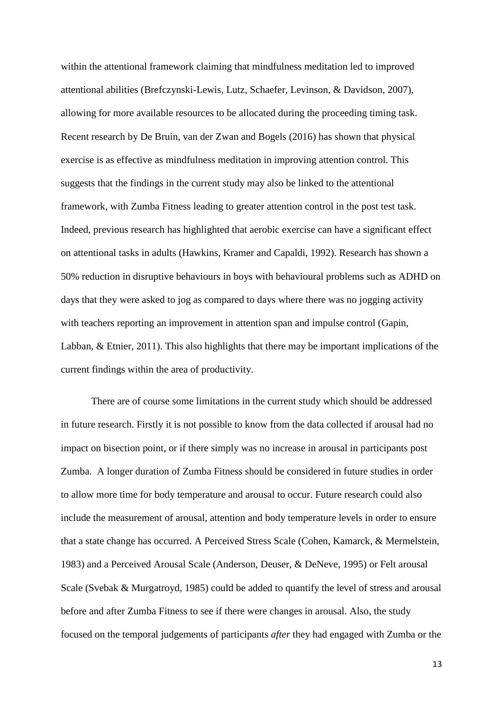within the attentional framework claiming that mindfulness meditation led to improved attentional abilities (Brefczynski-Lewis, Lutz, Schaefer, Levinson, & Davidson, 2007), allowing for more available resources to be allocated during the proceeding timing task. Recent research by De Bruin, van der Zwan and Bogels (2016) has shown that physical exercise is as effective as mindfulness meditation in improving attention control. This suggests that the findings in the current study may also be linked to the attentional framework, with Zumba Fitness leading to greater attention control in the post test task. Indeed, previous research has highlighted that aerobic exercise can have a significant effect on attentional tasks in adults (Hawkins, Kramer and Capaldi, 1992). Research has shown a 50% reduction in disruptive behaviours in boys with behavioural problems such as ADHD on days that they were asked to jog as compared to days where there was no jogging activity with teachers reporting an improvement in attention span and impulse control (Gapin, Labban, & Etnier, 2011). This also highlights that there may be important implications of the current findings within the area of productivity.

There are of course some limitations in the current study which should be addressed in future research. Firstly it is not possible to know from the data collected if arousal had no impact on bisection point, or if there simply was no increase in arousal in participants post Zumba. A longer duration of Zumba Fitness should be considered in future studies in order to allow more time for body temperature and arousal to occur. Future research could also include the measurement of arousal, attention and body temperature levels in order to ensure that a state change has occurred. A Perceived Stress Scale (Cohen, Kamarck, & Mermelstein, 1983) and a Perceived Arousal Scale (Anderson, Deuser, & DeNeve, 1995) or Felt arousal Scale (Svebak & Murgatroyd, 1985) could be added to quantify the level of stress and arousal before and after Zumba Fitness to see if there were changes in arousal. Also, the study focused on the temporal judgements of participants *after* they had engaged with Zumba or the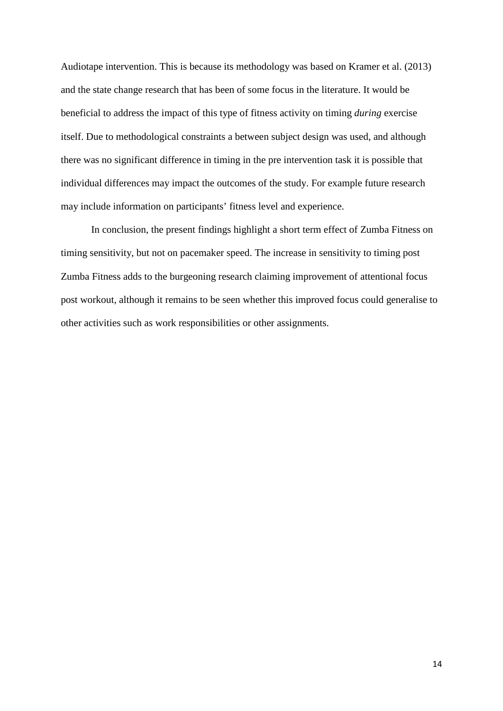Audiotape intervention. This is because its methodology was based on Kramer et al. (2013) and the state change research that has been of some focus in the literature. It would be beneficial to address the impact of this type of fitness activity on timing *during* exercise itself. Due to methodological constraints a between subject design was used, and although there was no significant difference in timing in the pre intervention task it is possible that individual differences may impact the outcomes of the study. For example future research may include information on participants' fitness level and experience.

In conclusion, the present findings highlight a short term effect of Zumba Fitness on timing sensitivity, but not on pacemaker speed. The increase in sensitivity to timing post Zumba Fitness adds to the burgeoning research claiming improvement of attentional focus post workout, although it remains to be seen whether this improved focus could generalise to other activities such as work responsibilities or other assignments.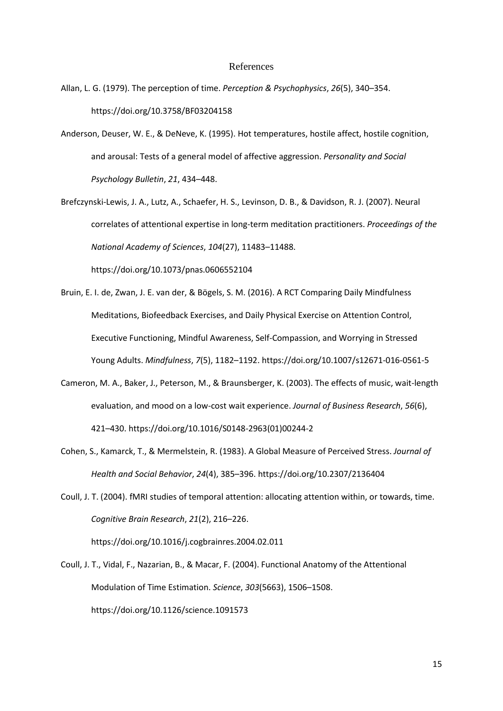#### References

- Allan, L. G. (1979). The perception of time. *Perception & Psychophysics*, *26*(5), 340–354. https://doi.org/10.3758/BF03204158
- Anderson, Deuser, W. E., & DeNeve, K. (1995). Hot temperatures, hostile affect, hostile cognition, and arousal: Tests of a general model of affective aggression. *Personality and Social Psychology Bulletin*, *21*, 434–448.
- Brefczynski-Lewis, J. A., Lutz, A., Schaefer, H. S., Levinson, D. B., & Davidson, R. J. (2007). Neural correlates of attentional expertise in long-term meditation practitioners. *Proceedings of the National Academy of Sciences*, *104*(27), 11483–11488.

https://doi.org/10.1073/pnas.0606552104

- Bruin, E. I. de, Zwan, J. E. van der, & Bögels, S. M. (2016). A RCT Comparing Daily Mindfulness Meditations, Biofeedback Exercises, and Daily Physical Exercise on Attention Control, Executive Functioning, Mindful Awareness, Self-Compassion, and Worrying in Stressed Young Adults. *Mindfulness*, *7*(5), 1182–1192. https://doi.org/10.1007/s12671-016-0561-5
- Cameron, M. A., Baker, J., Peterson, M., & Braunsberger, K. (2003). The effects of music, wait-length evaluation, and mood on a low-cost wait experience. *Journal of Business Research*, *56*(6), 421–430. https://doi.org/10.1016/S0148-2963(01)00244-2
- Cohen, S., Kamarck, T., & Mermelstein, R. (1983). A Global Measure of Perceived Stress. *Journal of Health and Social Behavior*, *24*(4), 385–396. https://doi.org/10.2307/2136404
- Coull, J. T. (2004). fMRI studies of temporal attention: allocating attention within, or towards, time. *Cognitive Brain Research*, *21*(2), 216–226.

https://doi.org/10.1016/j.cogbrainres.2004.02.011

Coull, J. T., Vidal, F., Nazarian, B., & Macar, F. (2004). Functional Anatomy of the Attentional Modulation of Time Estimation. *Science*, *303*(5663), 1506–1508. https://doi.org/10.1126/science.1091573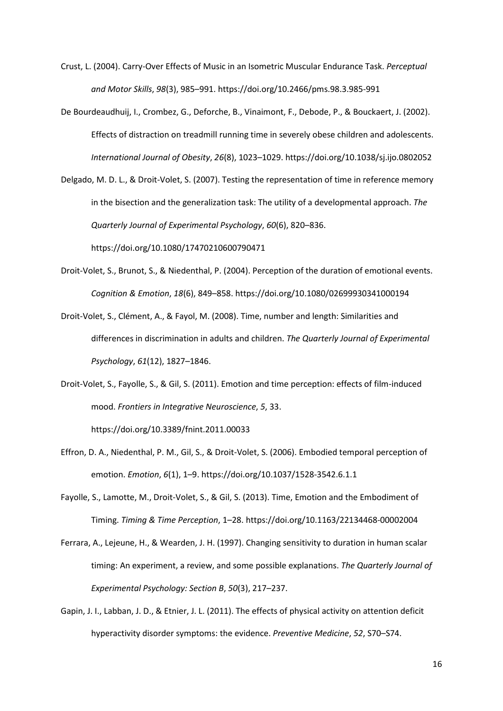- Crust, L. (2004). Carry-Over Effects of Music in an Isometric Muscular Endurance Task. *Perceptual and Motor Skills*, *98*(3), 985–991. https://doi.org/10.2466/pms.98.3.985-991
- De Bourdeaudhuij, I., Crombez, G., Deforche, B., Vinaimont, F., Debode, P., & Bouckaert, J. (2002). Effects of distraction on treadmill running time in severely obese children and adolescents. *International Journal of Obesity*, *26*(8), 1023–1029. https://doi.org/10.1038/sj.ijo.0802052
- Delgado, M. D. L., & Droit-Volet, S. (2007). Testing the representation of time in reference memory in the bisection and the generalization task: The utility of a developmental approach. *The Quarterly Journal of Experimental Psychology*, *60*(6), 820–836.

https://doi.org/10.1080/17470210600790471

- Droit-Volet, S., Brunot, S., & Niedenthal, P. (2004). Perception of the duration of emotional events. *Cognition & Emotion*, *18*(6), 849–858. https://doi.org/10.1080/02699930341000194
- Droit-Volet, S., Clément, A., & Fayol, M. (2008). Time, number and length: Similarities and differences in discrimination in adults and children. *The Quarterly Journal of Experimental Psychology*, *61*(12), 1827–1846.
- Droit-Volet, S., Fayolle, S., & Gil, S. (2011). Emotion and time perception: effects of film-induced mood. *Frontiers in Integrative Neuroscience*, *5*, 33.

https://doi.org/10.3389/fnint.2011.00033

- Effron, D. A., Niedenthal, P. M., Gil, S., & Droit-Volet, S. (2006). Embodied temporal perception of emotion. *Emotion*, *6*(1), 1–9. https://doi.org/10.1037/1528-3542.6.1.1
- Fayolle, S., Lamotte, M., Droit-Volet, S., & Gil, S. (2013). Time, Emotion and the Embodiment of Timing. *Timing & Time Perception*, 1–28. https://doi.org/10.1163/22134468-00002004
- Ferrara, A., Lejeune, H., & Wearden, J. H. (1997). Changing sensitivity to duration in human scalar timing: An experiment, a review, and some possible explanations. *The Quarterly Journal of Experimental Psychology: Section B*, *50*(3), 217–237.
- Gapin, J. I., Labban, J. D., & Etnier, J. L. (2011). The effects of physical activity on attention deficit hyperactivity disorder symptoms: the evidence. *Preventive Medicine*, *52*, S70–S74.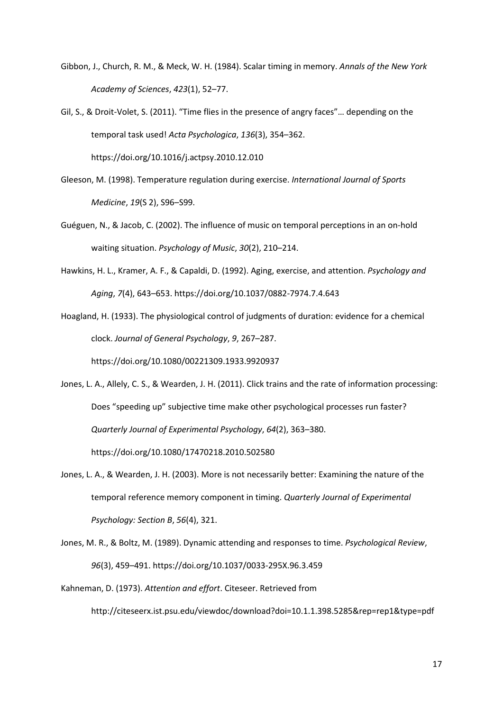- Gibbon, J., Church, R. M., & Meck, W. H. (1984). Scalar timing in memory. *Annals of the New York Academy of Sciences*, *423*(1), 52–77.
- Gil, S., & Droit-Volet, S. (2011). "Time flies in the presence of angry faces"… depending on the temporal task used! *Acta Psychologica*, *136*(3), 354–362.

https://doi.org/10.1016/j.actpsy.2010.12.010

- Gleeson, M. (1998). Temperature regulation during exercise. *International Journal of Sports Medicine*, *19*(S 2), S96–S99.
- Guéguen, N., & Jacob, C. (2002). The influence of music on temporal perceptions in an on-hold waiting situation. *Psychology of Music*, *30*(2), 210–214.
- Hawkins, H. L., Kramer, A. F., & Capaldi, D. (1992). Aging, exercise, and attention. *Psychology and Aging*, *7*(4), 643–653. https://doi.org/10.1037/0882-7974.7.4.643

Hoagland, H. (1933). The physiological control of judgments of duration: evidence for a chemical clock. *Journal of General Psychology*, *9*, 267–287. https://doi.org/10.1080/00221309.1933.9920937

- Jones, L. A., Allely, C. S., & Wearden, J. H. (2011). Click trains and the rate of information processing: Does "speeding up" subjective time make other psychological processes run faster? *Quarterly Journal of Experimental Psychology*, *64*(2), 363–380. https://doi.org/10.1080/17470218.2010.502580
- Jones, L. A., & Wearden, J. H. (2003). More is not necessarily better: Examining the nature of the temporal reference memory component in timing. *Quarterly Journal of Experimental Psychology: Section B*, *56*(4), 321.
- Jones, M. R., & Boltz, M. (1989). Dynamic attending and responses to time. *Psychological Review*, *96*(3), 459–491. https://doi.org/10.1037/0033-295X.96.3.459

Kahneman, D. (1973). *Attention and effort*. Citeseer. Retrieved from http://citeseerx.ist.psu.edu/viewdoc/download?doi=10.1.1.398.5285&rep=rep1&type=pdf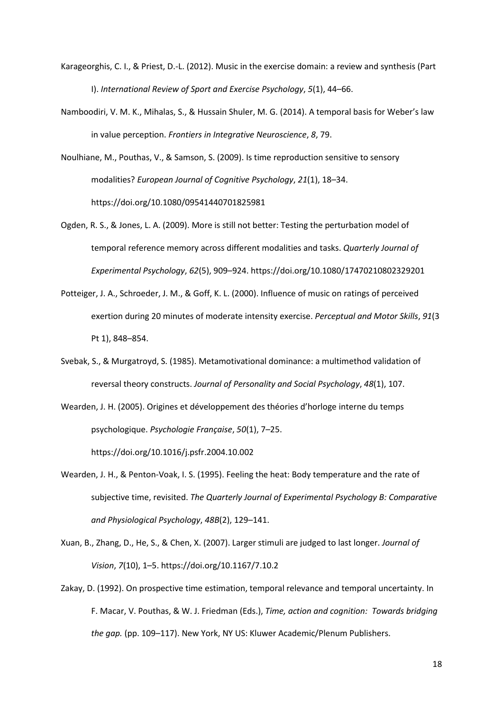- Karageorghis, C. I., & Priest, D.-L. (2012). Music in the exercise domain: a review and synthesis (Part I). *International Review of Sport and Exercise Psychology*, *5*(1), 44–66.
- Namboodiri, V. M. K., Mihalas, S., & Hussain Shuler, M. G. (2014). A temporal basis for Weber's law in value perception. *Frontiers in Integrative Neuroscience*, *8*, 79.

Noulhiane, M., Pouthas, V., & Samson, S. (2009). Is time reproduction sensitive to sensory modalities? *European Journal of Cognitive Psychology*, *21*(1), 18–34. https://doi.org/10.1080/09541440701825981

- Ogden, R. S., & Jones, L. A. (2009). More is still not better: Testing the perturbation model of temporal reference memory across different modalities and tasks. *Quarterly Journal of Experimental Psychology*, *62*(5), 909–924. https://doi.org/10.1080/17470210802329201
- Potteiger, J. A., Schroeder, J. M., & Goff, K. L. (2000). Influence of music on ratings of perceived exertion during 20 minutes of moderate intensity exercise. *Perceptual and Motor Skills*, *91*(3 Pt 1), 848–854.
- Svebak, S., & Murgatroyd, S. (1985). Metamotivational dominance: a multimethod validation of reversal theory constructs. *Journal of Personality and Social Psychology*, *48*(1), 107.
- Wearden, J. H. (2005). Origines et développement des théories d'horloge interne du temps psychologique. *Psychologie Française*, *50*(1), 7–25.

https://doi.org/10.1016/j.psfr.2004.10.002

- Wearden, J. H., & Penton-Voak, I. S. (1995). Feeling the heat: Body temperature and the rate of subjective time, revisited. *The Quarterly Journal of Experimental Psychology B: Comparative and Physiological Psychology*, *48B*(2), 129–141.
- Xuan, B., Zhang, D., He, S., & Chen, X. (2007). Larger stimuli are judged to last longer. *Journal of Vision*, *7*(10), 1–5. https://doi.org/10.1167/7.10.2
- Zakay, D. (1992). On prospective time estimation, temporal relevance and temporal uncertainty. In F. Macar, V. Pouthas, & W. J. Friedman (Eds.), *Time, action and cognition: Towards bridging the gap.* (pp. 109–117). New York, NY US: Kluwer Academic/Plenum Publishers.